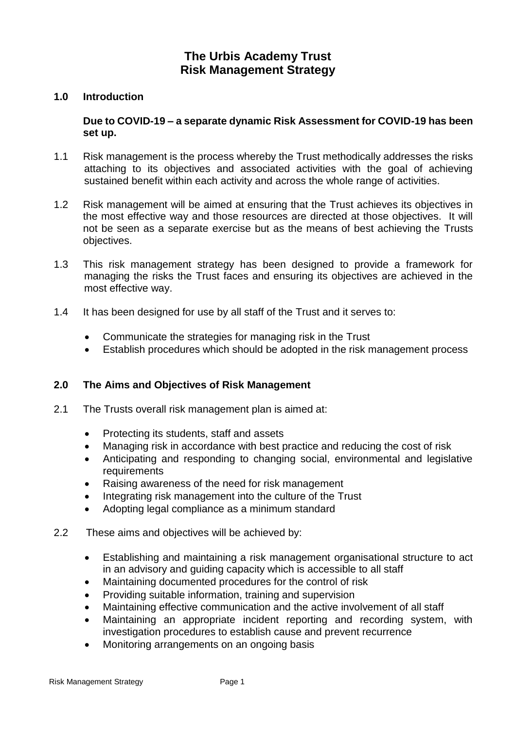# **The Urbis Academy Trust Risk Management Strategy**

#### **1.0 Introduction**

#### **Due to COVID-19 – a separate dynamic Risk Assessment for COVID-19 has been set up.**

- 1.1 Risk management is the process whereby the Trust methodically addresses the risks attaching to its objectives and associated activities with the goal of achieving sustained benefit within each activity and across the whole range of activities.
- 1.2 Risk management will be aimed at ensuring that the Trust achieves its objectives in the most effective way and those resources are directed at those objectives. It will not be seen as a separate exercise but as the means of best achieving the Trusts objectives.
- 1.3 This risk management strategy has been designed to provide a framework for managing the risks the Trust faces and ensuring its objectives are achieved in the most effective way.
- 1.4 It has been designed for use by all staff of the Trust and it serves to:
	- Communicate the strategies for managing risk in the Trust
	- Establish procedures which should be adopted in the risk management process

#### **2.0 The Aims and Objectives of Risk Management**

- 2.1 The Trusts overall risk management plan is aimed at:
	- Protecting its students, staff and assets
	- Managing risk in accordance with best practice and reducing the cost of risk
	- Anticipating and responding to changing social, environmental and legislative **requirements**
	- Raising awareness of the need for risk management
	- Integrating risk management into the culture of the Trust
	- Adopting legal compliance as a minimum standard
- 2.2 These aims and objectives will be achieved by:
	- Establishing and maintaining a risk management organisational structure to act in an advisory and guiding capacity which is accessible to all staff
	- Maintaining documented procedures for the control of risk
	- Providing suitable information, training and supervision
	- Maintaining effective communication and the active involvement of all staff
	- Maintaining an appropriate incident reporting and recording system, with investigation procedures to establish cause and prevent recurrence
	- Monitoring arrangements on an ongoing basis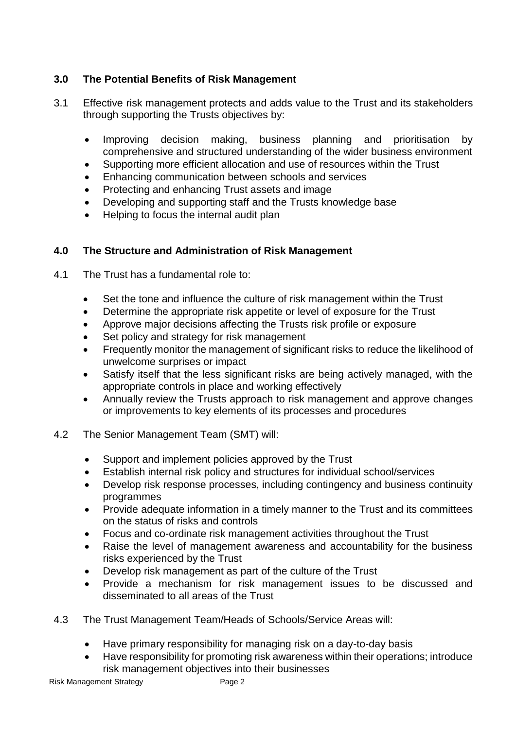# **3.0 The Potential Benefits of Risk Management**

- 3.1 Effective risk management protects and adds value to the Trust and its stakeholders through supporting the Trusts objectives by:
	- Improving decision making, business planning and prioritisation by comprehensive and structured understanding of the wider business environment
	- Supporting more efficient allocation and use of resources within the Trust
	- Enhancing communication between schools and services
	- Protecting and enhancing Trust assets and image
	- Developing and supporting staff and the Trusts knowledge base
	- Helping to focus the internal audit plan

# **4.0 The Structure and Administration of Risk Management**

- 4.1 The Trust has a fundamental role to:
	- Set the tone and influence the culture of risk management within the Trust
	- Determine the appropriate risk appetite or level of exposure for the Trust
	- Approve major decisions affecting the Trusts risk profile or exposure
	- Set policy and strategy for risk management
	- Frequently monitor the management of significant risks to reduce the likelihood of unwelcome surprises or impact
	- Satisfy itself that the less significant risks are being actively managed, with the appropriate controls in place and working effectively
	- Annually review the Trusts approach to risk management and approve changes or improvements to key elements of its processes and procedures
- 4.2 The Senior Management Team (SMT) will:
	- Support and implement policies approved by the Trust
	- Establish internal risk policy and structures for individual school/services
	- Develop risk response processes, including contingency and business continuity programmes
	- Provide adequate information in a timely manner to the Trust and its committees on the status of risks and controls
	- Focus and co-ordinate risk management activities throughout the Trust
	- Raise the level of management awareness and accountability for the business risks experienced by the Trust
	- Develop risk management as part of the culture of the Trust
	- Provide a mechanism for risk management issues to be discussed and disseminated to all areas of the Trust
- 4.3 The Trust Management Team/Heads of Schools/Service Areas will:
	- Have primary responsibility for managing risk on a day-to-day basis
	- Have responsibility for promoting risk awareness within their operations; introduce risk management objectives into their businesses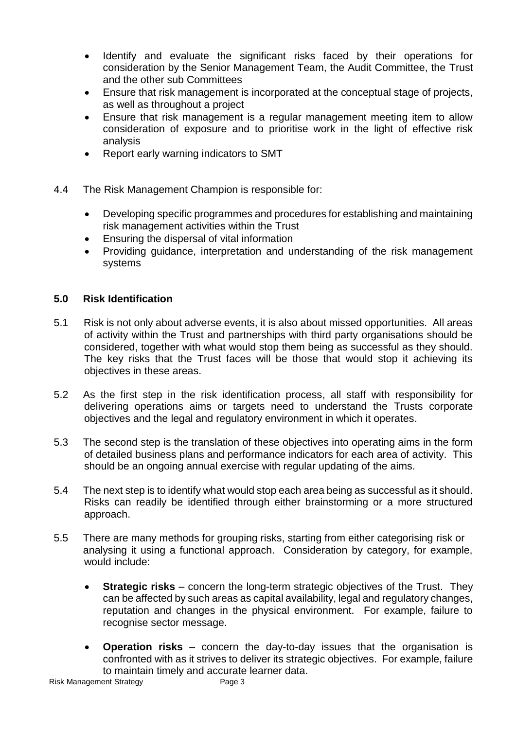- Identify and evaluate the significant risks faced by their operations for consideration by the Senior Management Team, the Audit Committee, the Trust and the other sub Committees
- Ensure that risk management is incorporated at the conceptual stage of projects, as well as throughout a project
- Ensure that risk management is a regular management meeting item to allow consideration of exposure and to prioritise work in the light of effective risk analysis
- Report early warning indicators to SMT
- 4.4 The Risk Management Champion is responsible for:
	- Developing specific programmes and procedures for establishing and maintaining risk management activities within the Trust
	- Ensuring the dispersal of vital information
	- Providing guidance, interpretation and understanding of the risk management systems

# **5.0 Risk Identification**

- 5.1 Risk is not only about adverse events, it is also about missed opportunities. All areas of activity within the Trust and partnerships with third party organisations should be considered, together with what would stop them being as successful as they should. The key risks that the Trust faces will be those that would stop it achieving its objectives in these areas.
- 5.2 As the first step in the risk identification process, all staff with responsibility for delivering operations aims or targets need to understand the Trusts corporate objectives and the legal and regulatory environment in which it operates.
- 5.3 The second step is the translation of these objectives into operating aims in the form of detailed business plans and performance indicators for each area of activity. This should be an ongoing annual exercise with regular updating of the aims.
- 5.4 The next step is to identify what would stop each area being as successful as it should. Risks can readily be identified through either brainstorming or a more structured approach.
- 5.5 There are many methods for grouping risks, starting from either categorising risk or analysing it using a functional approach. Consideration by category, for example, would include:
	- **Strategic risks** concern the long-term strategic objectives of the Trust. They can be affected by such areas as capital availability, legal and regulatory changes, reputation and changes in the physical environment. For example, failure to recognise sector message.
	- **Operation risks**  concern the day-to-day issues that the organisation is confronted with as it strives to deliver its strategic objectives. For example, failure to maintain timely and accurate learner data.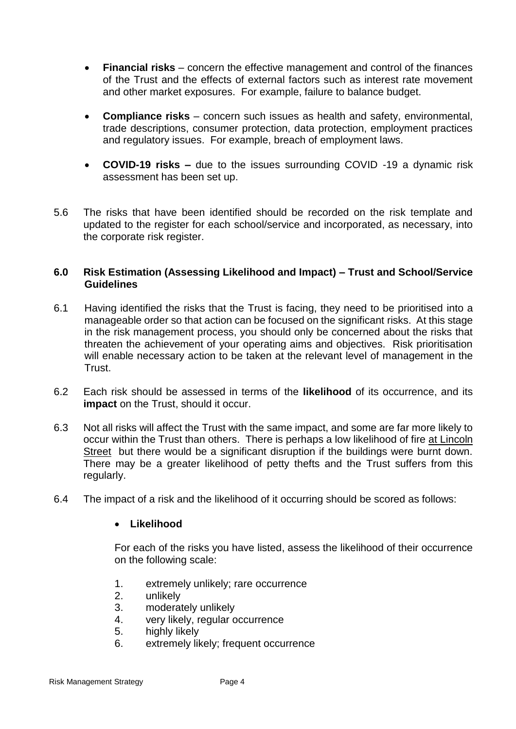- **Financial risks** concern the effective management and control of the finances of the Trust and the effects of external factors such as interest rate movement and other market exposures. For example, failure to balance budget.
- **Compliance risks** concern such issues as health and safety, environmental, trade descriptions, consumer protection, data protection, employment practices and regulatory issues. For example, breach of employment laws.
- **COVID-19 risks –** due to the issues surrounding COVID -19 a dynamic risk assessment has been set up.
- 5.6 The risks that have been identified should be recorded on the risk template and updated to the register for each school/service and incorporated, as necessary, into the corporate risk register.

#### **6.0 Risk Estimation (Assessing Likelihood and Impact) – Trust and School/Service Guidelines**

- 6.1 Having identified the risks that the Trust is facing, they need to be prioritised into a manageable order so that action can be focused on the significant risks. At this stage in the risk management process, you should only be concerned about the risks that threaten the achievement of your operating aims and objectives. Risk prioritisation will enable necessary action to be taken at the relevant level of management in the **Trust**
- 6.2 Each risk should be assessed in terms of the **likelihood** of its occurrence, and its **impact** on the Trust, should it occur.
- 6.3 Not all risks will affect the Trust with the same impact, and some are far more likely to occur within the Trust than others. There is perhaps a low likelihood of fire at Lincoln Street but there would be a significant disruption if the buildings were burnt down. There may be a greater likelihood of petty thefts and the Trust suffers from this regularly.
- 6.4 The impact of a risk and the likelihood of it occurring should be scored as follows:

#### **Likelihood**

For each of the risks you have listed, assess the likelihood of their occurrence on the following scale:

- 1. extremely unlikely; rare occurrence
- 2. unlikely
- 3. moderately unlikely
- 4. very likely, regular occurrence
- 5. highly likely
- 6. extremely likely; frequent occurrence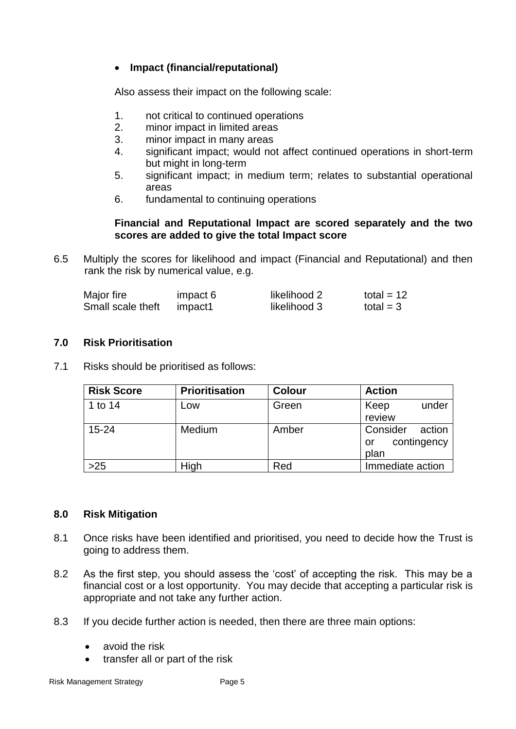## **Impact (financial/reputational)**

Also assess their impact on the following scale:

- 1. not critical to continued operations
- 2. minor impact in limited areas
- 3. minor impact in many areas
- 4. significant impact; would not affect continued operations in short-term but might in long-term
- 5. significant impact; in medium term; relates to substantial operational areas
- 6. fundamental to continuing operations

#### **Financial and Reputational Impact are scored separately and the two scores are added to give the total Impact score**

6.5 Multiply the scores for likelihood and impact (Financial and Reputational) and then rank the risk by numerical value, e.g.

| Major fire        | impact 6 | likelihood 2 | total = $12$ |
|-------------------|----------|--------------|--------------|
| Small scale theft | impact1  | likelihood 3 | total = $3$  |

## **7.0 Risk Prioritisation**

7.1 Risks should be prioritised as follows:

| <b>Risk Score</b> | <b>Prioritisation</b> | <b>Colour</b> | <b>Action</b>                                   |
|-------------------|-----------------------|---------------|-------------------------------------------------|
| 1 to 14           | Low                   | Green         | under<br>Keep<br>review                         |
| $15 - 24$         | Medium                | Amber         | Consider<br>action<br>contingency<br>or<br>plan |
| $>25$             | High                  | Red           | Immediate action                                |

#### **8.0 Risk Mitigation**

- 8.1 Once risks have been identified and prioritised, you need to decide how the Trust is going to address them.
- 8.2 As the first step, you should assess the 'cost' of accepting the risk. This may be a financial cost or a lost opportunity. You may decide that accepting a particular risk is appropriate and not take any further action.
- 8.3 If you decide further action is needed, then there are three main options:
	- avoid the risk
	- transfer all or part of the risk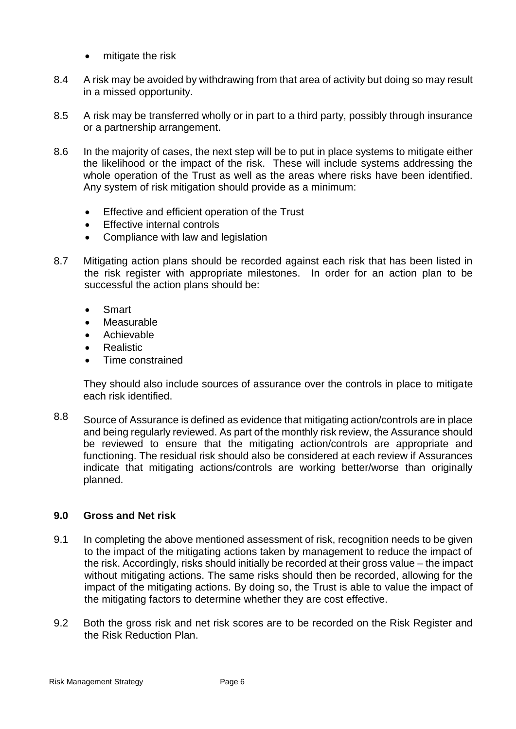- mitigate the risk
- 8.4 A risk may be avoided by withdrawing from that area of activity but doing so may result in a missed opportunity.
- 8.5 A risk may be transferred wholly or in part to a third party, possibly through insurance or a partnership arrangement.
- 8.6 In the majority of cases, the next step will be to put in place systems to mitigate either the likelihood or the impact of the risk. These will include systems addressing the whole operation of the Trust as well as the areas where risks have been identified. Any system of risk mitigation should provide as a minimum:
	- Effective and efficient operation of the Trust
	- Effective internal controls
	- Compliance with law and legislation
- 8.7 Mitigating action plans should be recorded against each risk that has been listed in the risk register with appropriate milestones. In order for an action plan to be successful the action plans should be:
	- Smart
	- Measurable
	- Achievable
	- Realistic
	- Time constrained

They should also include sources of assurance over the controls in place to mitigate each risk identified.

8.8 Source of Assurance is defined as evidence that mitigating action/controls are in place and being regularly reviewed. As part of the monthly risk review, the Assurance should be reviewed to ensure that the mitigating action/controls are appropriate and functioning. The residual risk should also be considered at each review if Assurances indicate that mitigating actions/controls are working better/worse than originally planned.

#### **9.0 Gross and Net risk**

- 9.1 In completing the above mentioned assessment of risk, recognition needs to be given to the impact of the mitigating actions taken by management to reduce the impact of the risk. Accordingly, risks should initially be recorded at their gross value – the impact without mitigating actions. The same risks should then be recorded, allowing for the impact of the mitigating actions. By doing so, the Trust is able to value the impact of the mitigating factors to determine whether they are cost effective.
- 9.2 Both the gross risk and net risk scores are to be recorded on the Risk Register and the Risk Reduction Plan.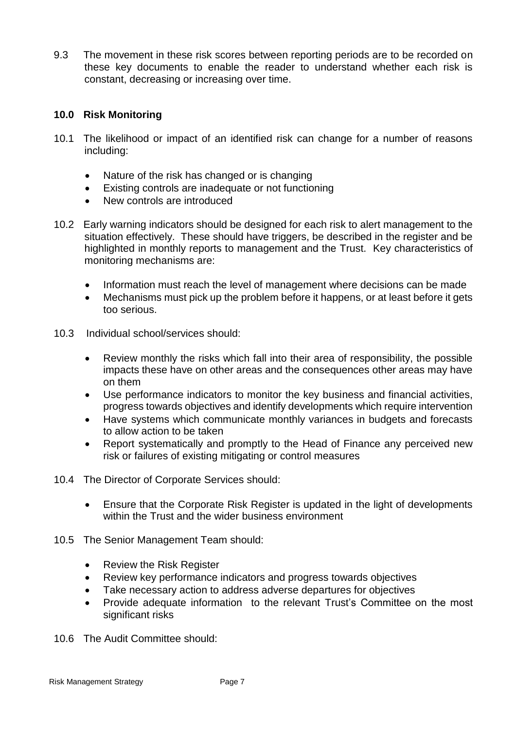9.3 The movement in these risk scores between reporting periods are to be recorded on these key documents to enable the reader to understand whether each risk is constant, decreasing or increasing over time.

## **10.0 Risk Monitoring**

- 10.1 The likelihood or impact of an identified risk can change for a number of reasons including:
	- Nature of the risk has changed or is changing
	- Existing controls are inadequate or not functioning
	- New controls are introduced
- 10.2 Early warning indicators should be designed for each risk to alert management to the situation effectively. These should have triggers, be described in the register and be highlighted in monthly reports to management and the Trust. Key characteristics of monitoring mechanisms are:
	- Information must reach the level of management where decisions can be made
	- Mechanisms must pick up the problem before it happens, or at least before it gets too serious.
- 10.3 Individual school/services should:
	- Review monthly the risks which fall into their area of responsibility, the possible impacts these have on other areas and the consequences other areas may have on them
	- Use performance indicators to monitor the key business and financial activities, progress towards objectives and identify developments which require intervention
	- Have systems which communicate monthly variances in budgets and forecasts to allow action to be taken
	- Report systematically and promptly to the Head of Finance any perceived new risk or failures of existing mitigating or control measures
- 10.4 The Director of Corporate Services should:
	- Ensure that the Corporate Risk Register is updated in the light of developments within the Trust and the wider business environment
- 10.5 The Senior Management Team should:
	- Review the Risk Register
	- Review key performance indicators and progress towards objectives
	- Take necessary action to address adverse departures for objectives
	- Provide adequate information to the relevant Trust's Committee on the most significant risks
- 10.6 The Audit Committee should: